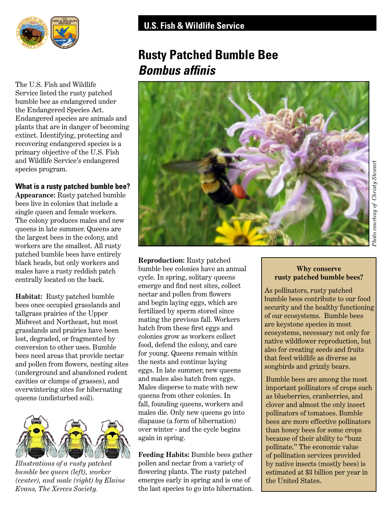

The U.S. Fish and Wildlife Service listed the rusty patched bumble bee as endangered under the Endangered Species Act. Endangered species are animals and plants that are in danger of becoming extinct. Identifying, protecting and recovering endangered species is a primary objective of the U.S. Fish and Wildlife Service's endangered species program.

#### **What is a rusty patched bumble bee?**

**Appearance:** Rusty patched bumble bees live in colonies that include a single queen and female workers. The colony produces males and new queens in late summer. Queens are the largest bees in the colony, and workers are the smallest. All rusty patched bumble bees have entirely<br>black heads, but only workers and<br>humble bee colonies have an annual<br>humble bee colonies have an annual males have a rusty reddish patch bumble bee colonies have an annually located on the back cycle. In spring, solitary queens

**Habitat:** Rusty patched bumble nectar and pollen from flowers<br>bees once occupied grasslands and and begin laying eggs, which are<br>tallgrass prairies of the Upper fertilized by sperm stored since Midwest and Northeast, but most<br>
mating the previous fall. Workers<br>
match from these first eggs and expands and prairies have been colonies grow as workers collect lost, degraded, or fragmented by colonies grow as workers collect conversion to other uses. Bumble food, defend the colony, and care for young. Queens remain bees need areas that provide nectar<br>and pollen from flowers, nesting sites<br>(underground and abandoned rodent<br>cavities or clumps of grasses), and<br>overwintering sites for binaryonal males also hatch from eggs.<br>Nales disperse overwintering sites for hibernating Males disperse to mate with ne<br>queens (undisturbed soil) queens from other colonies. In



*Illustrations of a rusty patched* pollen and nectar from a variety of *bumble bee queen (left), worker* flowering plants. The rusty patched

# **Rusty Patched Bumble Bee**  *Bombus affnis*



centrally located on the back. eycle. In spring, solitary queens<br>emerge and find nest sites, collect queens (undisturbed soil). Gueens from other colonies. In queens (undisturbed soil). Fall, founding queens, workers and males die. Only new queens go into diapause (a form of hibernation) over winter - and the cycle begins again in spring.

**Feeding Habits:** Bumble bees gather *(center), and male (right) by Elaine* emerges early in spring and is one of *Evans, The Xerces Society.* **the last species to go into hibernation.** 

## **Why conserve rusty patched bumble bees?**

As pollinators, rusty patched bumble bees contribute to our food security and the healthy functioning of our ecosystems. Bumble bees are keystone species in most ecosystems, necessary not only for native wildfower reproduction, but also for creating seeds and fruits that feed wildlife as diverse as songbirds and grizzly bears.

Bumble bees are among the most important pollinators of crops such as blueberries, cranberries, and clover and almost the only insect pollinators of tomatoes. Bumble bees are more effective pollinators than honey bees for some crops because of their ability to "buzz pollinate." The economic value of pollination services provided by native insects (mostly bees) is estimated at \$3 billion per year in the United States.